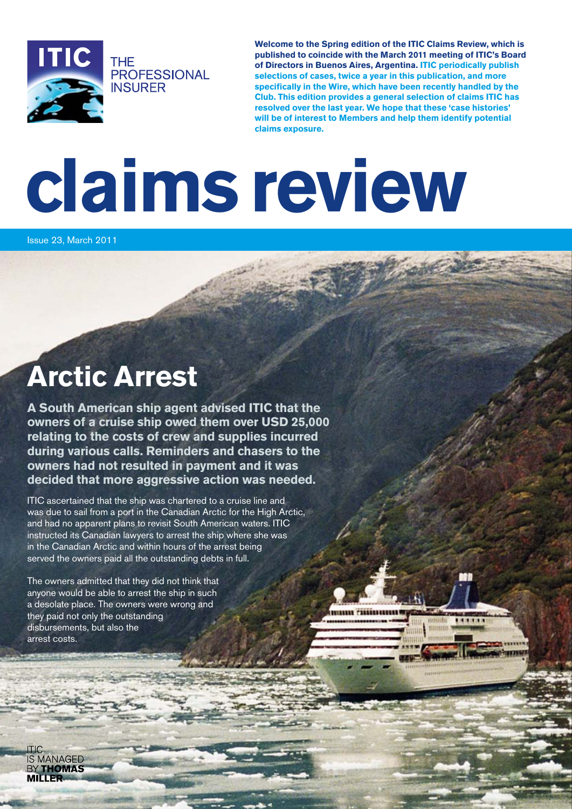

**Welcome to the Spring edition of the ITIC Claims Review, which is published to coincide with the March 2011 meeting of ITIC's Board of Directors in Buenos Aires, Argentina. ITIC periodically publish selections of cases, twice a year in this publication, and more specifically in the Wire, which have been recently handled by the Club. This edition provides a general selection of claims ITIC has resolved over the last year. We hope that these 'case histories' will be of interest to Members and help them identify potential claims exposure.**

**BIRTHER** 

# **claims review**

Issue 23, March 2011

#### **Arctic Arrest**

**A South American ship agent advised ITIC that the owners of a cruise ship owed them over USD 25,000 relating to the costs of crew and supplies incurred during various calls. Reminders and chasers to the owners had not resulted in payment and it was decided that more aggressive action was needed.**

ITIC ascertained that the ship was chartered to a cruise line and was due to sail from a port in the Canadian Arctic for the High Arctic. and had no apparent plans to revisit South American waters. ITIC instructed its Canadian lawyers to arrest the ship where she was in the Canadian Arctic and within hours of the arrest being served the owners paid all the outstanding debts in full.

The owners admitted that they did not think that anyone would be able to arrest the ship in such a desolate place. The owners were wrong and they paid not only the outstanding disbursements, but also the arrest costs.

**IS MANAGED THOMAS**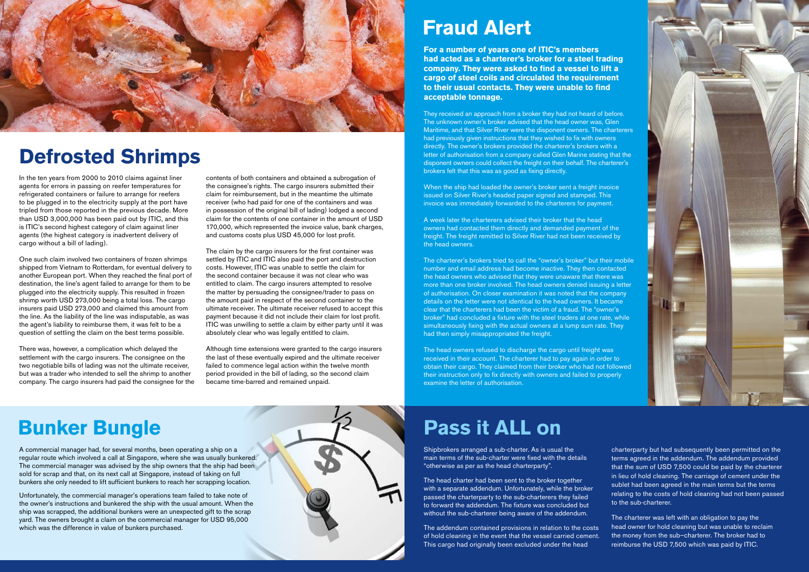### **Bunker Bungle**

In the ten years from 2000 to 2010 claims against liner agents for errors in passing on reefer temperatures for refrigerated containers or failure to arrange for reefers to be plugged in to the electricity supply at the port have tripled from those reported in the previous decade. More than USD 3,000,000 has been paid out by ITIC, and this is ITIC's second highest category of claim against liner agents (the highest category is inadvertent delivery of cargo without a bill of lading).

One such claim involved two containers of frozen shrimps shipped from Vietnam to Rotterdam, for eventual delivery to another European port. When they reached the final port of destination, the line's agent failed to arrange for them to be plugged into the electricity supply. This resulted in frozen shrimp worth USD 273,000 being a total loss. The cargo insurers paid USD 273,000 and claimed this amount from the line. As the liability of the line was indisputable, as was the agent's liability to reimburse them, it was felt to be a question of settling the claim on the best terms possible.

There was, however, a complication which delayed the settlement with the cargo insurers. The consignee on the two negotiable bills of lading was not the ultimate receiver, but was a trader who intended to sell the shrimp to another company. The cargo insurers had paid the consignee for the contents of both containers and obtained a subrogation of the consignee's rights. The cargo insurers submitted their claim for reimbursement, but in the meantime the ultimate receiver (who had paid for one of the containers and was in possession of the original bill of lading) lodged a second claim for the contents of one container in the amount of USD 170,000, which represented the invoice value, bank charges, and customs costs plus USD 45,000 for lost profit.

The claim by the cargo insurers for the first container was settled by ITIC and ITIC also paid the port and destruction costs. However, ITIC was unable to settle the claim for the second container because it was not clear who was entitled to claim. The cargo insurers attempted to resolve the matter by persuading the consignee/trader to pass on the amount paid in respect of the second container to the ultimate receiver. The ultimate receiver refused to accept this payment because it did not include their claim for lost profit. ITIC was unwilling to settle a claim by either party until it was absolutely clear who was legally entitled to claim.

> The head owners refused to discharge the cargo until freight was received in their account. The charterer had to pay again in order to obtain their cargo. They claimed from their broker who had not followed their instruction only to fix directly with owners and failed to properly examine the letter of authorisation.

Although time extensions were granted to the cargo insurers the last of these eventually expired and the ultimate receiver failed to commence legal action within the twelve month period provided in the bill of lading, so the second claim became time-barred and remained unpaid.



# **Defrosted Shrimps**

**For a number of years one of ITIC's members had acted as a charterer's broker for a steel trading company. They were asked to find a vessel to lift a cargo of steel coils and circulated the requirement to their usual contacts. They were unable to find acceptable tonnage.**

The head charter had been sent to the broker together with a separate addendum. Unfortunately, while the broker passed the charterparty to the sub-charterers they failed to forward the addendum. The fixture was concluded but without the sub-charterer being aware of the addendum.

They received an approach from a broker they had not heard of before. The unknown owner's broker advised that the head owner was, Glen Maritime, and that Silver River were the disponent owners. The charterers had previously given instructions that they wished to fix with owners directly. The owner's brokers provided the charterer's brokers with a letter of authorisation from a company called Glen Marine stating that the disponent owners could collect the freight on their behalf. The charterer's brokers felt that this was as good as fixing directly.

When the ship had loaded the owner's broker sent a freight invoice issued on Silver River's headed paper signed and stamped. This invoice was immediately forwarded to the charterers for payment.

A week later the charterers advised their broker that the head owners had contacted them directly and demanded payment of the freight. The freight remitted to Silver River had not been received by the head owners.

The charterer's brokers tried to call the "owner's broker" but their mobile number and email address had become inactive. They then contacted the head owners who advised that they were unaware that there was more than one broker involved. The head owners denied issuing a letter of authorisation. On closer examination it was noted that the company details on the letter were not identical to the head owners. It became clear that the charterers had been the victim of a fraud. The "owner's broker" had concluded a fixture with the steel traders at one rate, while simultaneously fixing with the actual owners at a lump sum rate. They had then simply misappropriated the freight.

### **Fraud Alert**

A commercial manager had, for several months, been operating a ship on a regular route which involved a call at Singapore, where she was usually bunkered. The commercial manager was advised by the ship owners that the ship had been sold for scrap and that, on its next call at Singapore, instead of taking on full bunkers she only needed to lift sufficient bunkers to reach her scrapping location.

Unfortunately, the commercial manager's operations team failed to take note of the owner's instructions and bunkered the ship with the usual amount. When the ship was scrapped, the additional bunkers were an unexpected gift to the scrap yard. The owners brought a claim on the commercial manager for USD 95,000 which was the difference in value of bunkers purchased.



## **Pass it ALL on**

Shipbrokers arranged a sub-charter. As is usual the main terms of the sub-charter were fixed with the details "otherwise as per as the head charterparty".

The addendum contained provisions in relation to the costs of hold cleaning in the event that the vessel carried cement. This cargo had originally been excluded under the head



charterparty but had subsequently been permitted on the terms agreed in the addendum. The addendum provided that the sum of USD 7,500 could be paid by the charterer in lieu of hold cleaning. The carriage of cement under the sublet had been agreed in the main terms but the terms relating to the costs of hold cleaning had not been passed to the sub-charterer.

The charterer was left with an obligation to pay the head owner for hold cleaning but was unable to reclaim the money from the sub–charterer. The broker had to reimburse the USD 7,500 which was paid by ITIC.